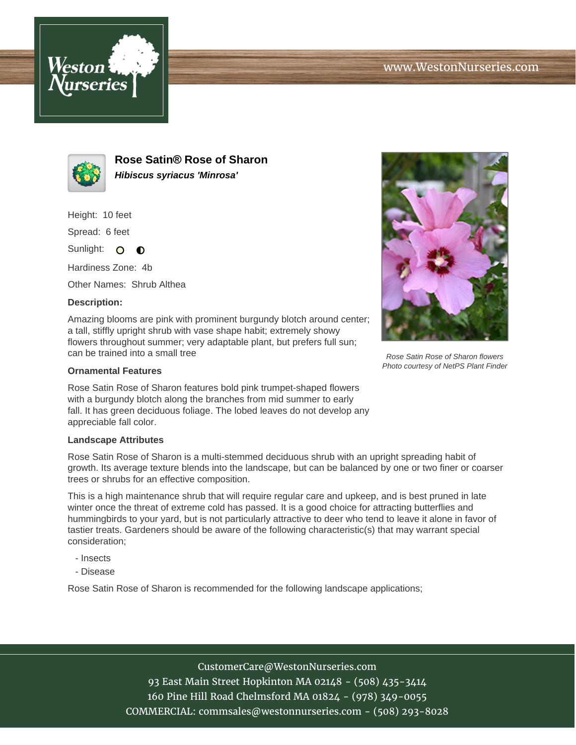



**Rose Satin® Rose of Sharon Hibiscus syriacus 'Minrosa'**

Height: 10 feet

Spread: 6 feet

Sunlight: O **O** 

Hardiness Zone: 4b

Other Names: Shrub Althea

## **Description:**

Amazing blooms are pink with prominent burgundy blotch around center; a tall, stiffly upright shrub with vase shape habit; extremely showy flowers throughout summer; very adaptable plant, but prefers full sun; can be trained into a small tree

## **Ornamental Features**

Rose Satin Rose of Sharon features bold pink trumpet-shaped flowers with a burgundy blotch along the branches from mid summer to early fall. It has green deciduous foliage. The lobed leaves do not develop any appreciable fall color.

## **Landscape Attributes**

Rose Satin Rose of Sharon is a multi-stemmed deciduous shrub with an upright spreading habit of growth. Its average texture blends into the landscape, but can be balanced by one or two finer or coarser trees or shrubs for an effective composition.

This is a high maintenance shrub that will require regular care and upkeep, and is best pruned in late winter once the threat of extreme cold has passed. It is a good choice for attracting butterflies and hummingbirds to your yard, but is not particularly attractive to deer who tend to leave it alone in favor of tastier treats. Gardeners should be aware of the following characteristic(s) that may warrant special consideration;

- Insects
- Disease

Rose Satin Rose of Sharon is recommended for the following landscape applications;



Rose Satin Rose of Sharon flowers Photo courtesy of NetPS Plant Finder

CustomerCare@WestonNurseries.com 93 East Main Street Hopkinton MA 02148 - (508) 435-3414 160 Pine Hill Road Chelmsford MA 01824 - (978) 349-0055 COMMERCIAL: commsales@westonnurseries.com - (508) 293-8028